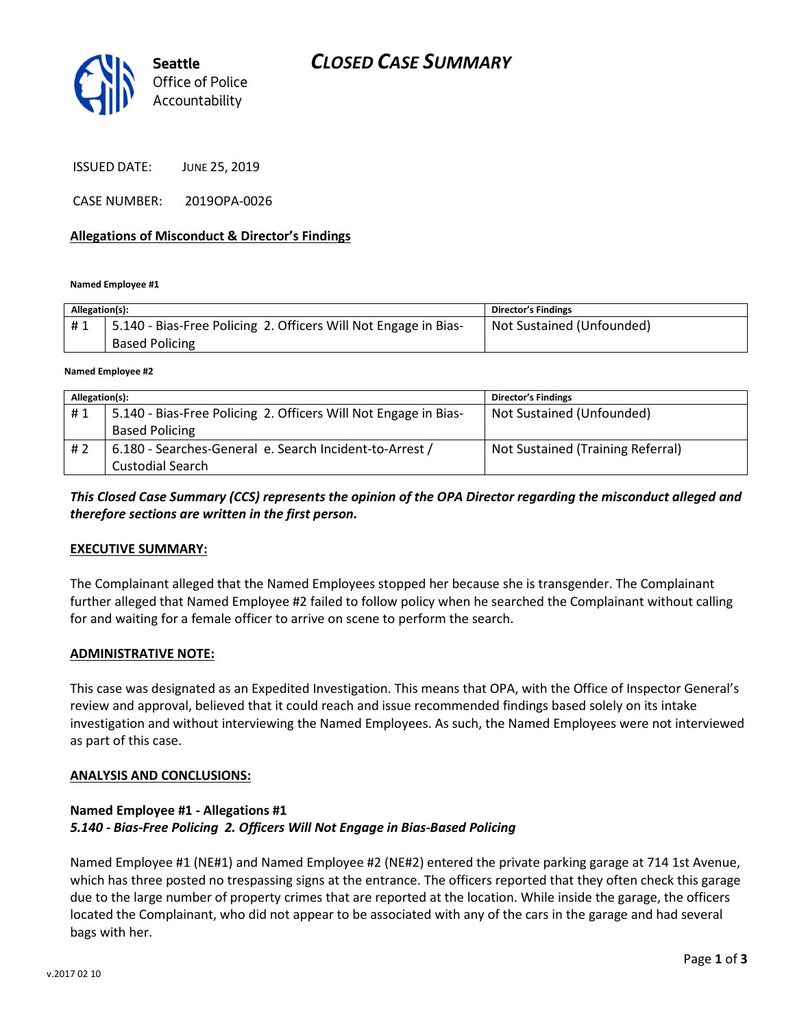

ISSUED DATE: JUNE 25, 2019

CASE NUMBER: 2019OPA-0026

### Allegations of Misconduct & Director's Findings

Named Employee #1

| Allegation(s): |                                                                 | <b>Director's Findings</b> |
|----------------|-----------------------------------------------------------------|----------------------------|
| #1             | 5.140 - Bias-Free Policing 2. Officers Will Not Engage in Bias- | Not Sustained (Unfounded)  |
|                | <b>Based Policing</b>                                           |                            |
|                |                                                                 |                            |

Named Employee #2

| Allegation(s): |                                                                 | <b>Director's Findings</b>        |
|----------------|-----------------------------------------------------------------|-----------------------------------|
| #1             | 5.140 - Bias-Free Policing 2. Officers Will Not Engage in Bias- | Not Sustained (Unfounded)         |
|                | <b>Based Policing</b>                                           |                                   |
| #2             | 6.180 - Searches-General e. Search Incident-to-Arrest /         | Not Sustained (Training Referral) |
|                | <b>Custodial Search</b>                                         |                                   |

This Closed Case Summary (CCS) represents the opinion of the OPA Director regarding the misconduct alleged and therefore sections are written in the first person.

### EXECUTIVE SUMMARY:

The Complainant alleged that the Named Employees stopped her because she is transgender. The Complainant further alleged that Named Employee #2 failed to follow policy when he searched the Complainant without calling for and waiting for a female officer to arrive on scene to perform the search.

#### ADMINISTRATIVE NOTE:

This case was designated as an Expedited Investigation. This means that OPA, with the Office of Inspector General's review and approval, believed that it could reach and issue recommended findings based solely on its intake investigation and without interviewing the Named Employees. As such, the Named Employees were not interviewed as part of this case.

#### ANALYSIS AND CONCLUSIONS:

## Named Employee #1 - Allegations #1 5.140 - Bias-Free Policing 2. Officers Will Not Engage in Bias-Based Policing

Named Employee #1 (NE#1) and Named Employee #2 (NE#2) entered the private parking garage at 714 1st Avenue, which has three posted no trespassing signs at the entrance. The officers reported that they often check this garage due to the large number of property crimes that are reported at the location. While inside the garage, the officers located the Complainant, who did not appear to be associated with any of the cars in the garage and had several bags with her.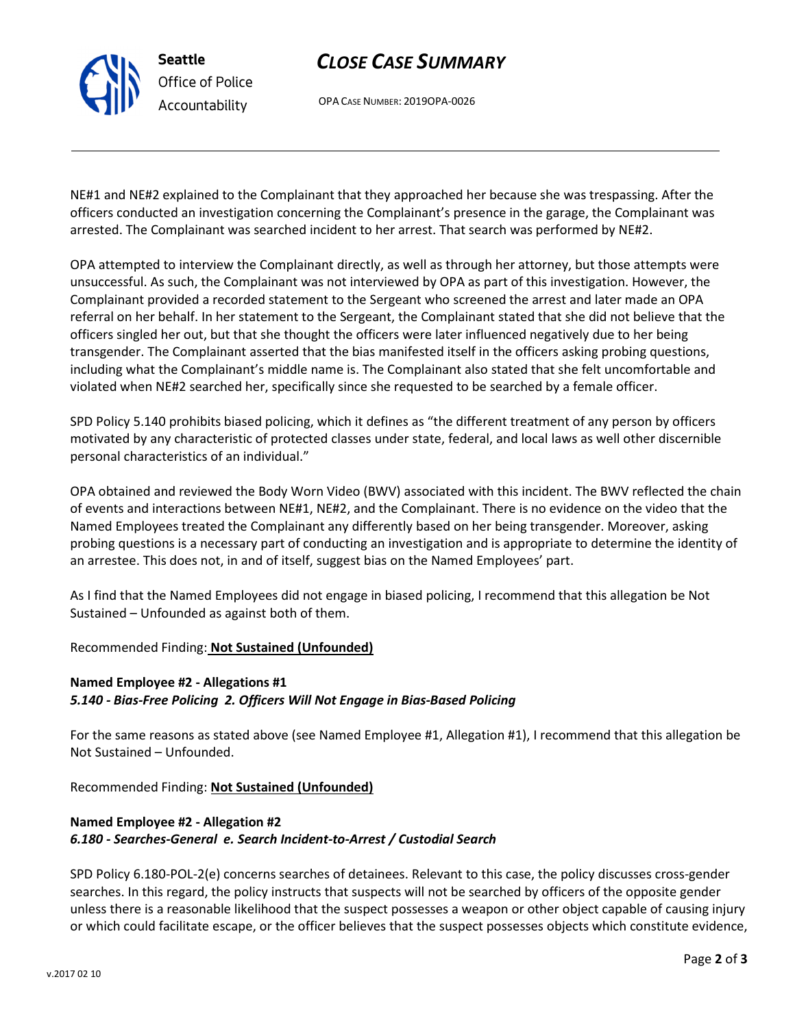# CLOSE CASE SUMMARY

OPA CASE NUMBER: 2019OPA-0026

NE#1 and NE#2 explained to the Complainant that they approached her because she was trespassing. After the officers conducted an investigation concerning the Complainant's presence in the garage, the Complainant was arrested. The Complainant was searched incident to her arrest. That search was performed by NE#2.

OPA attempted to interview the Complainant directly, as well as through her attorney, but those attempts were unsuccessful. As such, the Complainant was not interviewed by OPA as part of this investigation. However, the Complainant provided a recorded statement to the Sergeant who screened the arrest and later made an OPA referral on her behalf. In her statement to the Sergeant, the Complainant stated that she did not believe that the officers singled her out, but that she thought the officers were later influenced negatively due to her being transgender. The Complainant asserted that the bias manifested itself in the officers asking probing questions, including what the Complainant's middle name is. The Complainant also stated that she felt uncomfortable and violated when NE#2 searched her, specifically since she requested to be searched by a female officer.

SPD Policy 5.140 prohibits biased policing, which it defines as "the different treatment of any person by officers motivated by any characteristic of protected classes under state, federal, and local laws as well other discernible personal characteristics of an individual."

OPA obtained and reviewed the Body Worn Video (BWV) associated with this incident. The BWV reflected the chain of events and interactions between NE#1, NE#2, and the Complainant. There is no evidence on the video that the Named Employees treated the Complainant any differently based on her being transgender. Moreover, asking probing questions is a necessary part of conducting an investigation and is appropriate to determine the identity of an arrestee. This does not, in and of itself, suggest bias on the Named Employees' part.

As I find that the Named Employees did not engage in biased policing, I recommend that this allegation be Not Sustained – Unfounded as against both of them.

Recommended Finding: Not Sustained (Unfounded)

## Named Employee #2 - Allegations #1 5.140 - Bias-Free Policing 2. Officers Will Not Engage in Bias-Based Policing

For the same reasons as stated above (see Named Employee #1, Allegation #1), I recommend that this allegation be Not Sustained – Unfounded.

Recommended Finding: Not Sustained (Unfounded)

## Named Employee #2 - Allegation #2 6.180 - Searches-General e. Search Incident-to-Arrest / Custodial Search

SPD Policy 6.180-POL-2(e) concerns searches of detainees. Relevant to this case, the policy discusses cross-gender searches. In this regard, the policy instructs that suspects will not be searched by officers of the opposite gender unless there is a reasonable likelihood that the suspect possesses a weapon or other object capable of causing injury or which could facilitate escape, or the officer believes that the suspect possesses objects which constitute evidence,



Seattle Office of Police Accountability